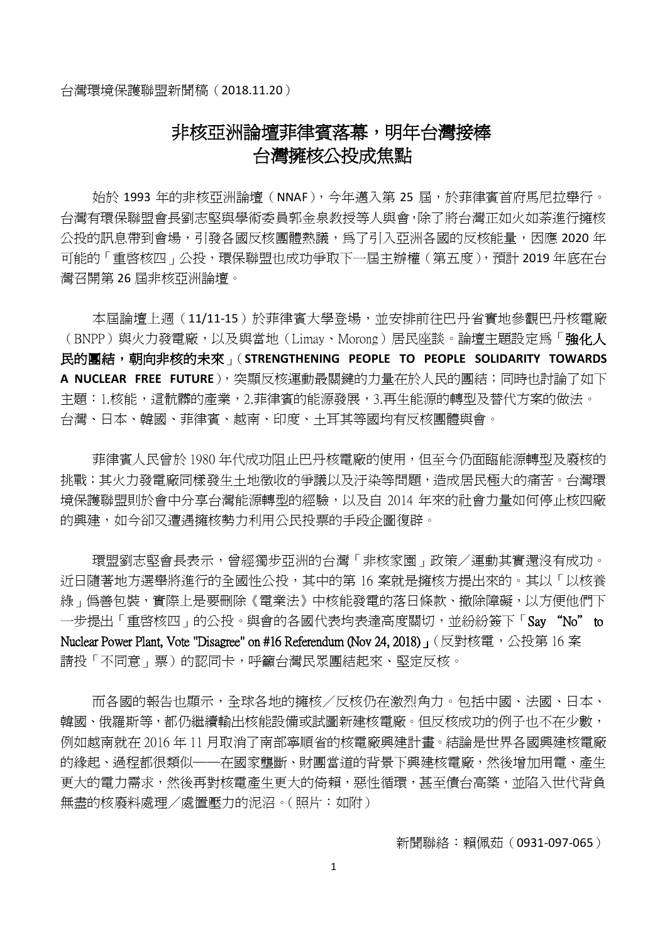# 非核亞洲論壇菲律賓落幕,明年台灣接棒 台灣擁核公投成焦點

始於 1993 年的非核亞洲論壇 (NNAF), 今年邁入第 25 屆, 於菲律賓首府馬尼拉舉行。 台灣有環保聯盟會長劉志堅與學術委員郭金泉教授等人與會,除了將台灣正如火如荼進行擁核 公投的訊息帶到會場,引發各國反核團體熱議,為了引入亞洲各國的反核能量,因應 2020 年 可能的「重啓核四」公投,環保聯盟也成功爭取下一屆主辦權(第五度),預計 2019 年底在台 灣召開第 26 屆非核亞洲論壇。

本屆論壇上週(11/11-15)於菲律賓大學登場,並安排前往巴丹省實地參觀巴丹核電廠 (BNPP)與火力發電廠,以及與當地(Limay、Morong)居民座談。論壇主題設定為「**強化人** 民的團結,朝向非核的未來」(**STRENGTHENING PEOPLE TO PEOPLE SOLIDARITY TOWARDS A NUCLEAR FREE FUTURE**),突顯反核運動最關鍵的力量在於人民的團結;同時也討論了如下 主題:1.核能,這骯髒的產業,2.菲律賓的能源發展,3.再生能源的轉型及替代方案的做法。 台灣、日本、韓國、菲律賓、越南、印度、土耳其等國均有反核團體與會。

菲律賓人民曾於 1980 年代成功阻止巴丹核電廠的使用,但至今仍面臨能源轉型及廢核的 挑戰;其火力發電廠同樣發生土地徵收的爭議以及汙染等問題,造成居民極大的痛苦。台灣環 境保護聯盟則於會中分享台灣能源轉型的經驗,以及自 2014 年來的社會力量如何停止核四廠 的興建,如今卻又遭遇擁核勢力利用公民投票的手段企圖復辟。

環盟劉志堅會長表示,曾經獨步亞洲的台灣「非核家園」政策/運動其實還沒有成功。 近日隨著地方選舉將進行的全國性公投,其中的第 16 案就是擁核方提出來的。其以「以核養 綠」僞善包裝,實際上是要刪除《電業法》中核能發電的落日條款、撤除障礙,以方便他們下 一步提出「重啟核四」的公投。與會的各國代表均表達高度關切,並紛紛簽下「Say "No" to Nuclear Power Plant, Vote "Disagree" on #16 Referendum (Nov 24, 2018)」(反對核電,公投第 16 案 請投「不同意」票)的認同卡,呼籲台灣民眾團結起來、堅定反核。

而各國的報告也顯示,全球各地的擁核/反核仍在激烈角力。包括中國、法國、日本、 韓國、俄羅斯等,都仍繼續輸出核能設備或試圖新建核電廠。但反核成功的例子也不在少數, 例如越南就在 2016 年 11 月取消了南部寧順省的核電廠興建計畫。結論是世界各國興建核電廠 的緣起、過程都很類似——在國家壟斷、財團當道的背景下興建核電廠,然後增加用電、產生 更大的電力需求,然後再對核電產生更大的倚賴,惡性循環,甚至債台高築,並陷入世代背負 無盡的核廢料處理/處置壓力的泥沼。(照片:如附)

新聞聯絡:賴佩茹 (0931-097-065)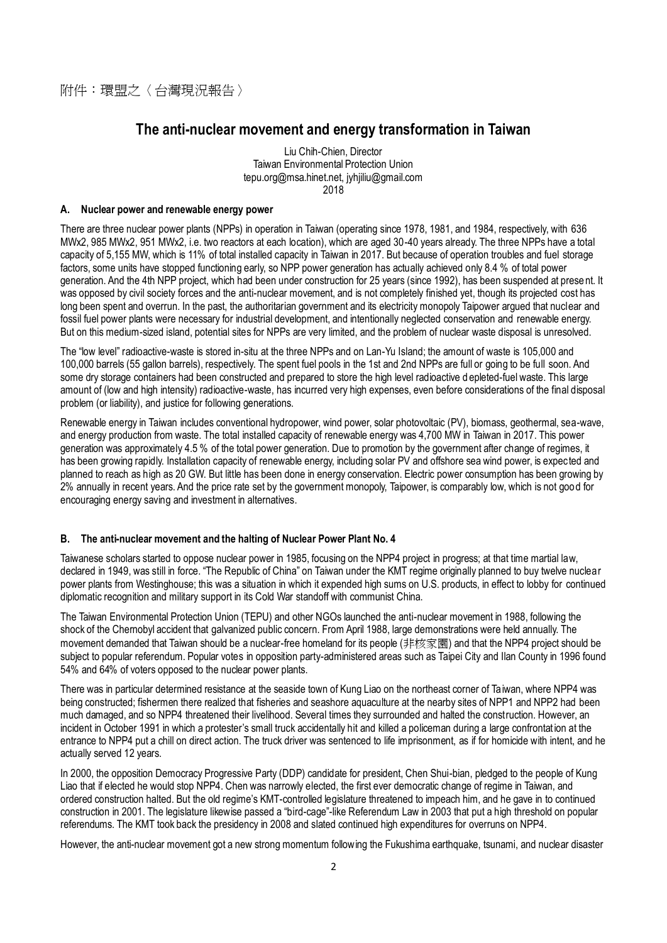# **The anti-nuclear movement and energy transformation in Taiwan**

Liu Chih-Chien, Director Taiwan Environmental Protection Union tepu.org@msa.hinet.net, jyhjiliu@gmail.com 2018

#### **A. Nuclear power and renewable energy power**

There are three nuclear power plants (NPPs) in operation in Taiwan (operating since 1978, 1981, and 1984, respectively, with 636 MWx2, 985 MWx2, 951 MWx2, i.e. two reactors at each location), which are aged 30-40 years already. The three NPPs have a total capacity of 5,155 MW, which is 11% of total installed capacity in Taiwan in 2017. But because of operation troubles and fuel storage factors, some units have stopped functioning early, so NPP power generation has actually achieved only 8.4 % of total power generation. And the 4th NPP project, which had been under construction for 25 years (since 1992), has been suspended at prese nt. It was opposed by civil society forces and the anti-nuclear movement, and is not completely finished yet, though its projected cost has long been spent and overrun. In the past, the authoritarian government and its electricity monopoly Taipower argued that nuclear and fossil fuel power plants were necessary for industrial development, and intentionally neglected conservation and renewable energy. But on this medium-sized island, potential sites for NPPs are very limited, and the problem of nuclear waste disposal is unresolved.

The "low level" radioactive-waste is stored in-situ at the three NPPs and on Lan-Yu Island; the amount of waste is 105,000 and 100,000 barrels (55 gallon barrels), respectively. The spent fuel pools in the 1st and 2nd NPPs are full or going to be full soon. And some dry storage containers had been constructed and prepared to store the high level radioactive d epleted-fuel waste. This large amount of (low and high intensity) radioactive-waste, has incurred very high expenses, even before considerations of the final disposal problem (or liability), and justice for following generations.

Renewable energy in Taiwan includes conventional hydropower, wind power, solar photovoltaic (PV), biomass, geothermal, sea-wave, and energy production from waste. The total installed capacity of renewable energy was 4,700 MW in Taiwan in 2017. This power generation was approximately 4.5 % of the total power generation. Due to promotion by the government after change of regimes, it has been growing rapidly. Installation capacity of renewable energy, including solar PV and offshore sea wind power, is expected and planned to reach as high as 20 GW. But little has been done in energy conservation. Electric power consumption has been growing by 2% annually in recent years. And the price rate set by the government monopoly, Taipower, is comparably low, which is not good for encouraging energy saving and investment in alternatives.

## **B. The anti-nuclear movement and the halting of Nuclear Power Plant No. 4**

Taiwanese scholars started to oppose nuclear power in 1985, focusing on the NPP4 project in progress; at that time martial law, declared in 1949, was still in force. "The Republic of China" on Taiwan under the KMT regime originally planned to buy twelve nuclear power plants from Westinghouse; this was a situation in which it expended high sums on U.S. products, in effect to lobby for continued diplomatic recognition and military support in its Cold War standoff with communist China.

The Taiwan Environmental Protection Union (TEPU) and other NGOs launched the anti-nuclear movement in 1988, following the shock of the Chernobyl accident that galvanized public concern. From April 1988, large demonstrations were held annually. The movement demanded that Taiwan should be a nuclear-free homeland for its people (非核家園) and that the NPP4 project should be subject to popular referendum. Popular votes in opposition party-administered areas such as Taipei City and Ilan County in 1996 found 54% and 64% of voters opposed to the nuclear power plants.

There was in particular determined resistance at the seaside town of Kung Liao on the northeast corner of Taiwan, where NPP4 was being constructed; fishermen there realized that fisheries and seashore aquaculture at the nearby sites of NPP1 and NPP2 had been much damaged, and so NPP4 threatened their livelihood. Several times they surrounded and halted the construction. However, an incident in October 1991 in which a protester's small truck accidentally hit and killed a policeman during a large confrontation at the entrance to NPP4 put a chill on direct action. The truck driver was sentenced to life imprisonment, as if for homicide with intent, and he actually served 12 years.

In 2000, the opposition Democracy Progressive Party (DDP) candidate for president, Chen Shui-bian, pledged to the people of Kung Liao that if elected he would stop NPP4. Chen was narrowly elected, the first ever democratic change of regime in Taiwan, and ordered construction halted. But the old regime's KMT-controlled legislature threatened to impeach him, and he gave in to continued construction in 2001. The legislature likewise passed a "bird-cage"-like Referendum Law in 2003 that put a high threshold on popular referendums. The KMT took back the presidency in 2008 and slated continued high expenditures for overruns on NPP4.

However, the anti-nuclear movement got a new strong momentum following the Fukushima earthquake, tsunami, and nuclear disaster